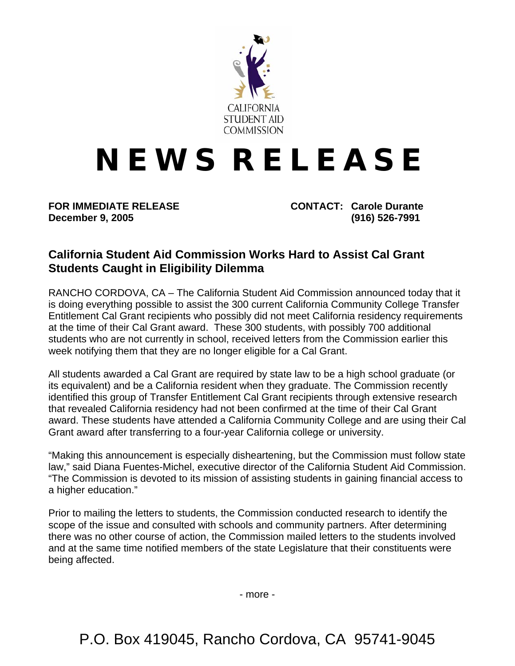

## **N E W S R E L E A S E**

**December 9, 2005 (916) 526-7991** 

**FOR IMMEDIATE RELEASE CONTACT: Carole Durante** 

## **California Student Aid Commission Works Hard to Assist Cal Grant Students Caught in Eligibility Dilemma**

RANCHO CORDOVA, CA – The California Student Aid Commission announced today that it is doing everything possible to assist the 300 current California Community College Transfer Entitlement Cal Grant recipients who possibly did not meet California residency requirements at the time of their Cal Grant award. These 300 students, with possibly 700 additional students who are not currently in school, received letters from the Commission earlier this week notifying them that they are no longer eligible for a Cal Grant.

All students awarded a Cal Grant are required by state law to be a high school graduate (or its equivalent) and be a California resident when they graduate. The Commission recently identified this group of Transfer Entitlement Cal Grant recipients through extensive research that revealed California residency had not been confirmed at the time of their Cal Grant award. These students have attended a California Community College and are using their Cal Grant award after transferring to a four-year California college or university.

"Making this announcement is especially disheartening, but the Commission must follow state law," said Diana Fuentes-Michel, executive director of the California Student Aid Commission. "The Commission is devoted to its mission of assisting students in gaining financial access to a higher education."

Prior to mailing the letters to students, the Commission conducted research to identify the scope of the issue and consulted with schools and community partners. After determining there was no other course of action, the Commission mailed letters to the students involved and at the same time notified members of the state Legislature that their constituents were being affected.

- more -

P.O. Box 419045, Rancho Cordova, CA 95741-9045